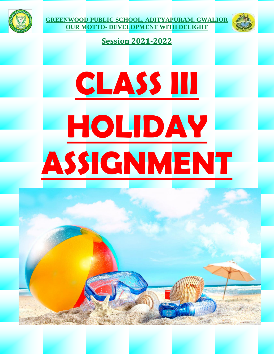



#### **Session 2021-2022**

# **CLASS III HOLIDAY ASSIGNMENT**

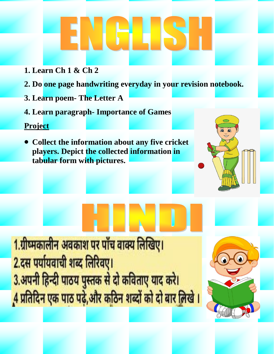- **1. Learn Ch 1 & Ch 2**
- **2. Do one page handwriting everyday in your revision notebook.**
- **3. Learn poem- The Letter A**
- **4. Learn paragraph- Importance of Games**

#### **Project**

 **Collect the information about any five cricket players. Depict the collected information in tabular form with pictures.**

1.ग्रीष्मकालीन अवकाश पर पाँच वाक्य लिखिए। 2.दस पर्यायवाची शब्द लिरिवए। 3.अपनी हिन्दी पाठय पुस्तक से दो कविताए याद करे। 4 प्रतिदिन एक पाठ पढ़े,और कठिन शब्दों को दो बार लिखे ।

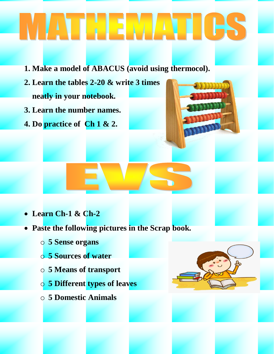## ATHEMATICS

- **1. Make a model of ABACUS (avoid using thermocol).**
- **2. Learn the tables 2-20 & write 3 times neatly in your notebook.**
- **3. Learn the number names.**
- **4. Do practice of Ch 1 & 2.**



- **Learn Ch-1 & Ch-2**
- **Paste the following pictures in the Scrap book.**
	- o **5 Sense organs**
	- o **5 Sources of water**
	- o **5 Means of transport**
	- o **5 Different types of leaves**
	- o **5 Domestic Animals**

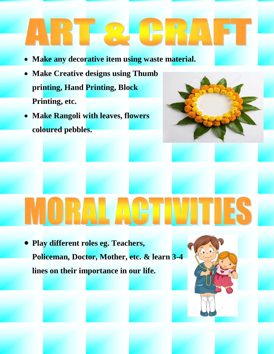### RTR e e

- **Make any decorative item using waste material.**
- **Make Creative designs using Thumb printing, Hand Printing, Block Printing, etc.**
- **Make Rangoli with leaves, flowers coloured pebbles.**



### **TA**

 **Play different roles eg. Teachers, Policeman, Doctor, Mother, etc. & learn 3-4 lines on their importance in our life.**

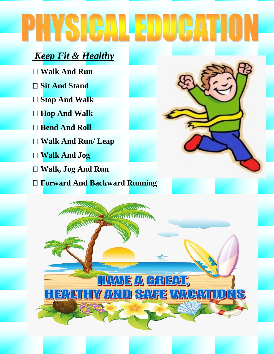## PHSCALENICATION

### *Keep Fit & Healthy*

- **Walk And Run**
- **Sit And Stand**
- **Stop And Walk**
- **Hop And Walk**
- **Bend And Roll**
- **Walk And Run/ Leap**   $\Box$
- **Walk And Jog**
- **Walk, Jog And Run**
- **Forward And Backward Running**